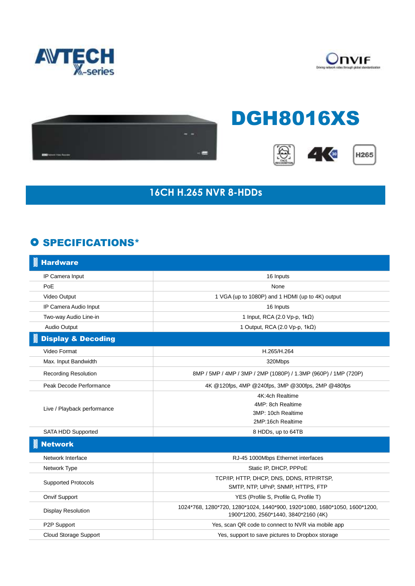





## DGH8016XS







## **16CH H.265 NVR 8-HDDs**

## **O SPECIFICATIONS\***

| <b>Hardware</b>               |                                                                                                                   |
|-------------------------------|-------------------------------------------------------------------------------------------------------------------|
| IP Camera Input               | 16 Inputs                                                                                                         |
| PoE                           | None                                                                                                              |
| Video Output                  | 1 VGA (up to 1080P) and 1 HDMI (up to 4K) output                                                                  |
| IP Camera Audio Input         | 16 Inputs                                                                                                         |
| Two-way Audio Line-in         | 1 Input, RCA (2.0 Vp-p, $1k\Omega$ )                                                                              |
| Audio Output                  | 1 Output, RCA (2.0 Vp-p, 1kΩ)                                                                                     |
| <b>Display &amp; Decoding</b> |                                                                                                                   |
| Video Format                  | H.265/H.264                                                                                                       |
| Max. Input Bandwidth          | 320Mbps                                                                                                           |
| <b>Recording Resolution</b>   | 8MP / 5MP / 4MP / 3MP / 2MP (1080P) / 1.3MP (960P) / 1MP (720P)                                                   |
| Peak Decode Performance       | 4K @120fps, 4MP @240fps, 3MP @300fps, 2MP @480fps                                                                 |
| Live / Playback performance   | 4K:4ch Realtime                                                                                                   |
|                               | 4MP: 8ch Realtime                                                                                                 |
|                               | 3MP: 10ch Realtime                                                                                                |
|                               | 2MP:16ch Realtime                                                                                                 |
| SATA HDD Supported            | 8 HDDs, up to 64TB                                                                                                |
| <b>Network</b>                |                                                                                                                   |
| Network Interface             | RJ-45 1000Mbps Ethernet interfaces                                                                                |
| Network Type                  | Static IP, DHCP, PPPoE                                                                                            |
| <b>Supported Protocols</b>    | TCP/IP, HTTP, DHCP, DNS, DDNS, RTP/RTSP,                                                                          |
|                               | SMTP, NTP, UPnP, SNMP, HTTPS, FTP                                                                                 |
| Onvif Support                 | YES (Profile S, Profile G, Profile T)                                                                             |
| <b>Display Resolution</b>     | 1024*768, 1280*720, 1280*1024, 1440*900, 1920*1080, 1680*1050, 1600*1200,<br>1900*1200, 2560*1440, 3840*2160 (4K) |
| P2P Support                   | Yes, scan QR code to connect to NVR via mobile app                                                                |
| <b>Cloud Storage Support</b>  | Yes, support to save pictures to Dropbox storage                                                                  |
|                               |                                                                                                                   |